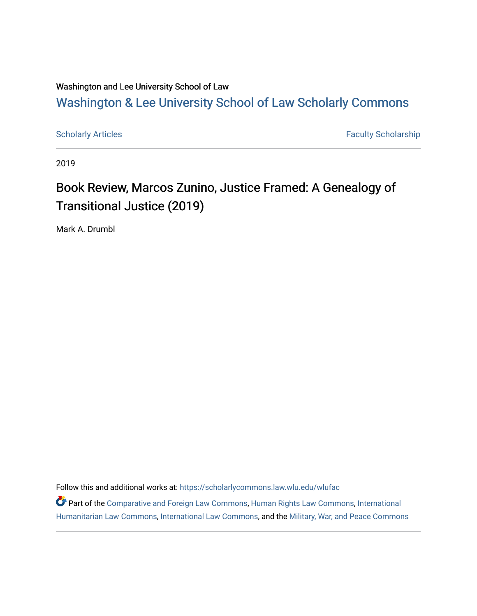## Washington and Lee University School of Law

## [Washington & Lee University School of Law Scholarly Commons](https://scholarlycommons.law.wlu.edu/)

[Scholarly Articles](https://scholarlycommons.law.wlu.edu/wlufac) **Faculty Scholarship** Faculty Scholarship

2019

## Book Review, Marcos Zunino, Justice Framed: A Genealogy of Transitional Justice (2019)

Mark A. Drumbl

Follow this and additional works at: [https://scholarlycommons.law.wlu.edu/wlufac](https://scholarlycommons.law.wlu.edu/wlufac?utm_source=scholarlycommons.law.wlu.edu%2Fwlufac%2F705&utm_medium=PDF&utm_campaign=PDFCoverPages)

Part of the [Comparative and Foreign Law Commons,](http://network.bepress.com/hgg/discipline/836?utm_source=scholarlycommons.law.wlu.edu%2Fwlufac%2F705&utm_medium=PDF&utm_campaign=PDFCoverPages) [Human Rights Law Commons,](http://network.bepress.com/hgg/discipline/847?utm_source=scholarlycommons.law.wlu.edu%2Fwlufac%2F705&utm_medium=PDF&utm_campaign=PDFCoverPages) [International](http://network.bepress.com/hgg/discipline/1330?utm_source=scholarlycommons.law.wlu.edu%2Fwlufac%2F705&utm_medium=PDF&utm_campaign=PDFCoverPages)  [Humanitarian Law Commons,](http://network.bepress.com/hgg/discipline/1330?utm_source=scholarlycommons.law.wlu.edu%2Fwlufac%2F705&utm_medium=PDF&utm_campaign=PDFCoverPages) [International Law Commons](http://network.bepress.com/hgg/discipline/609?utm_source=scholarlycommons.law.wlu.edu%2Fwlufac%2F705&utm_medium=PDF&utm_campaign=PDFCoverPages), and the [Military, War, and Peace Commons](http://network.bepress.com/hgg/discipline/861?utm_source=scholarlycommons.law.wlu.edu%2Fwlufac%2F705&utm_medium=PDF&utm_campaign=PDFCoverPages)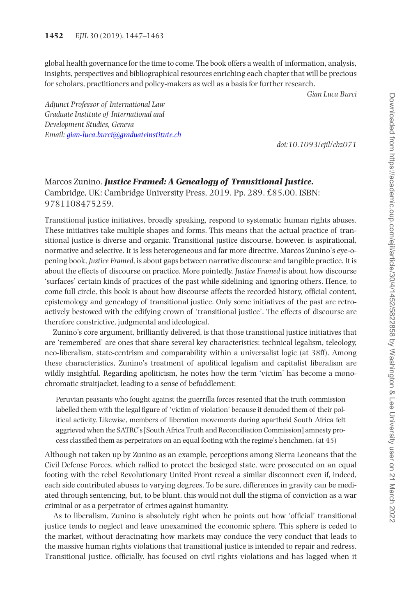global health governance for the time to come. The book offers a wealth of information, analysis, insights, perspectives and bibliographical resources enriching each chapter that will be precious for scholars, practitioners and policy-makers as well as a basis for further research.

*Gian Luca Burci*

*Adjunct Professor of International Law Graduate Institute of International and Development Studies, Geneva Email: [gian-luca.burci@graduateinstitute.ch](mailto:gian-luca.burci@graduateinstitute.ch?subject=)*

*doi:10.1093/ejil/chz071*

## Marcos Zunino. *Justice Framed: A Genealogy of Transitional Justice.*

Cambridge, UK: Cambridge University Press, 2019. Pp. 289. £85.00. ISBN: 9781108475259.

Transitional justice initiatives, broadly speaking, respond to systematic human rights abuses. These initiatives take multiple shapes and forms. This means that the actual practice of transitional justice is diverse and organic. Transitional justice discourse, however, is aspirational, normative and selective. It is less heterogeneous and far more directive. Marcos Zunino's eye-opening book, *Justice Framed*, is about gaps between narrative discourse and tangible practice. It is about the effects of discourse on practice. More pointedly, *Justice Framed* is about how discourse 'surfaces' certain kinds of practices of the past while sidelining and ignoring others. Hence, to come full circle, this book is about how discourse affects the recorded history, official content, epistemology and genealogy of transitional justice. Only some initiatives of the past are retroactively bestowed with the edifying crown of 'transitional justice'. The effects of discourse are therefore constrictive, judgmental and ideological.

Zunino's core argument, brilliantly delivered, is that those transitional justice initiatives that are 'remembered' are ones that share several key characteristics: technical legalism, teleology, neo-liberalism, state-centrism and comparability within a universalist logic (at 38ff). Among these characteristics, Zunino's treatment of apolitical legalism and capitalist liberalism are wildly insightful. Regarding apoliticism, he notes how the term 'victim' has become a monochromatic straitjacket, leading to a sense of befuddlement:

Peruvian peasants who fought against the guerrilla forces resented that the truth commission labelled them with the legal figure of 'victim of violation' because it denuded them of their political activity. Likewise, members of liberation movements during apartheid South Africa felt aggrieved when the SATRC's [South Africa Truth and Reconciliation Commission] amnesty process classified them as perpetrators on an equal footing with the regime's henchmen. (at 45)

Although not taken up by Zunino as an example, perceptions among Sierra Leoneans that the Civil Defense Forces, which rallied to protect the besieged state, were prosecuted on an equal footing with the rebel Revolutionary United Front reveal a similar disconnect even if, indeed, each side contributed abuses to varying degrees. To be sure, differences in gravity can be mediated through sentencing, but, to be blunt, this would not dull the stigma of conviction as a war criminal or as a perpetrator of crimes against humanity.

As to liberalism, Zunino is absolutely right when he points out how 'official' transitional justice tends to neglect and leave unexamined the economic sphere. This sphere is ceded to the market, without deracinating how markets may conduce the very conduct that leads to the massive human rights violations that transitional justice is intended to repair and redress. Transitional justice, officially, has focused on civil rights violations and has lagged when it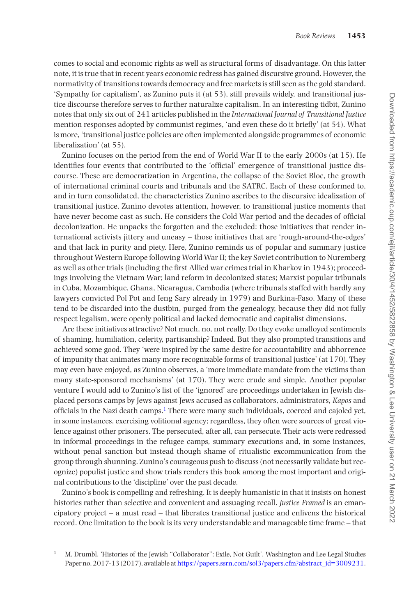comes to social and economic rights as well as structural forms of disadvantage. On this latter note, it is true that in recent years economic redress has gained discursive ground. However, the normativity of transitions towards democracy and free markets is still seen as the gold standard. 'Sympathy for capitalism', as Zunino puts it (at 53), still prevails widely, and transitional justice discourse therefore serves to further naturalize capitalism. In an interesting tidbit, Zunino notes that only six out of 241 articles published in the *International Journal of Transitional Justice* mention responses adopted by communist regimes, 'and even these do it briefly' (at 54). What is more, 'transitional justice policies are often implemented alongside programmes of economic liberalization' (at 55).

Zunino focuses on the period from the end of World War II to the early 2000s (at 15). He identifies four events that contributed to the 'official' emergence of transitional justice discourse. These are democratization in Argentina, the collapse of the Soviet Bloc, the growth of international criminal courts and tribunals and the SATRC. Each of these conformed to, and in turn consolidated, the characteristics Zunino ascribes to the discursive idealization of transitional justice. Zunino devotes attention, however, to transitional justice moments that have never become cast as such. He considers the Cold War period and the decades of official decolonization. He unpacks the forgotten and the excluded: those initiatives that render international activists jittery and uneasy – those initiatives that are 'rough-around-the-edges' and that lack in purity and piety. Here, Zunino reminds us of popular and summary justice throughout Western Europe following World War II; the key Soviet contribution to Nuremberg as well as other trials (including the first Allied war crimes trial in Kharkov in 1943); proceedings involving the Vietnam War; land reform in decolonized states; Marxist popular tribunals in Cuba, Mozambique, Ghana, Nicaragua, Cambodia (where tribunals staffed with hardly any lawyers convicted Pol Pot and Ieng Sary already in 1979) and Burkina-Faso. Many of these tend to be discarded into the dustbin, purged from the genealogy, because they did not fully respect legalism, were openly political and lacked democratic and capitalist dimensions.

Are these initiatives attractive? Not much, no, not really. Do they evoke unalloyed sentiments of shaming, humiliation, celerity, partisanship? Indeed. But they also prompted transitions and achieved some good. They 'were inspired by the same desire for accountability and abhorrence of impunity that animates many more recognizable forms of transitional justice' (at 170). They may even have enjoyed, as Zunino observes, a 'more immediate mandate from the victims than many state-sponsored mechanisms' (at 170). They were crude and simple. Another popular venture I would add to Zunino's list of the 'ignored' are proceedings undertaken in Jewish displaced persons camps by Jews against Jews accused as collaborators, administrators, *Kapos* and officials in the Nazi death camps.1 There were many such individuals, coerced and cajoled yet, in some instances, exercising volitional agency; regardless, they often were sources of great violence against other prisoners. The persecuted, after all, can persecute. Their acts were redressed in informal proceedings in the refugee camps, summary executions and, in some instances, without penal sanction but instead though shame of ritualistic excommunication from the group through shunning. Zunino's courageous push to discuss (not necessarily validate but recognize) populist justice and show trials renders this book among the most important and original contributions to the 'discipline' over the past decade.

Zunino's book is compelling and refreshing. It is deeply humanistic in that it insists on honest histories rather than selective and convenient and assuaging recall. *Justice Framed* is an emancipatory project – a must read – that liberates transitional justice and enlivens the historical record. One limitation to the book is its very understandable and manageable time frame – that

<sup>1</sup> M. Drumbl, 'Histories of the Jewish "Collaborator": Exile, Not Guilt', Washington and Lee Legal Studies Paper no. 2017-13 (2017), available at [https://papers.ssrn.com/sol3/papers.cfm?abstract\\_id=3009231](https://papers.ssrn.com/sol3/papers.cfm?abstract_id=3009231).